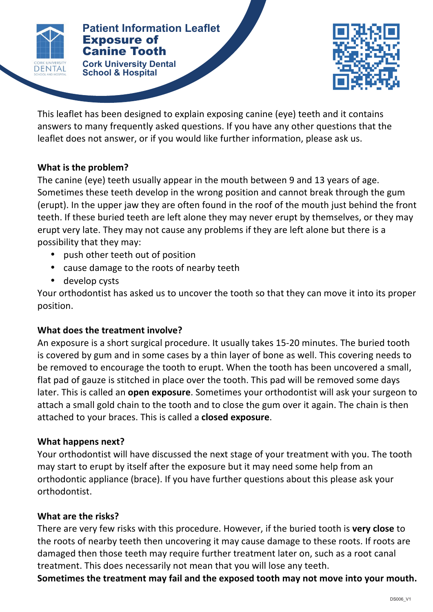

#### **Patients Patient Information Leaflet** Exposure of Canine Tooth

**Cork University Dental <b>Corp. Corp. Corp. Corp. Corp. Corp. Corp. Corp. Corp. Corp. Corp. Corp. Corp. Corp. Corp. Corp. Corp. Corp. Corp. Corp. Corp. Corp. Corp. Corp. Corp. School & Hospital**



This leaflet has been designed to explain exposing canine (eye) teeth and it contains answers to many frequently asked questions. If you have any other questions that the leaflet does not answer, or if you would like further information, please ask us.

# **What is the problem?**

The canine (eye) teeth usually appear in the mouth between 9 and 13 years of age. Sometimes these teeth develop in the wrong position and cannot break through the gum (erupt). In the upper jaw they are often found in the roof of the mouth just behind the front teeth. If these buried teeth are left alone they may never erupt by themselves, or they may erupt very late. They may not cause any problems if they are left alone but there is a possibility that they may:

- push other teeth out of position
- cause damage to the roots of nearby teeth
- develop cysts

Your orthodontist has asked us to uncover the tooth so that they can move it into its proper position.

# **What does the treatment involve?**

An exposure is a short surgical procedure. It usually takes 15-20 minutes. The buried tooth is covered by gum and in some cases by a thin layer of bone as well. This covering needs to be removed to encourage the tooth to erupt. When the tooth has been uncovered a small, flat pad of gauze is stitched in place over the tooth. This pad will be removed some days later. This is called an **open exposure**. Sometimes your orthodontist will ask your surgeon to attach a small gold chain to the tooth and to close the gum over it again. The chain is then attached to your braces. This is called a **closed exposure**.

# **What happens next?**

Your orthodontist will have discussed the next stage of your treatment with you. The tooth may start to erupt by itself after the exposure but it may need some help from an orthodontic appliance (brace). If you have further questions about this please ask your orthodontist.

# **What are the risks?**

There are very few risks with this procedure. However, if the buried tooth is very close to the roots of nearby teeth then uncovering it may cause damage to these roots. If roots are damaged then those teeth may require further treatment later on, such as a root canal treatment. This does necessarily not mean that you will lose any teeth.

Sometimes the treatment may fail and the exposed tooth may not move into your mouth.